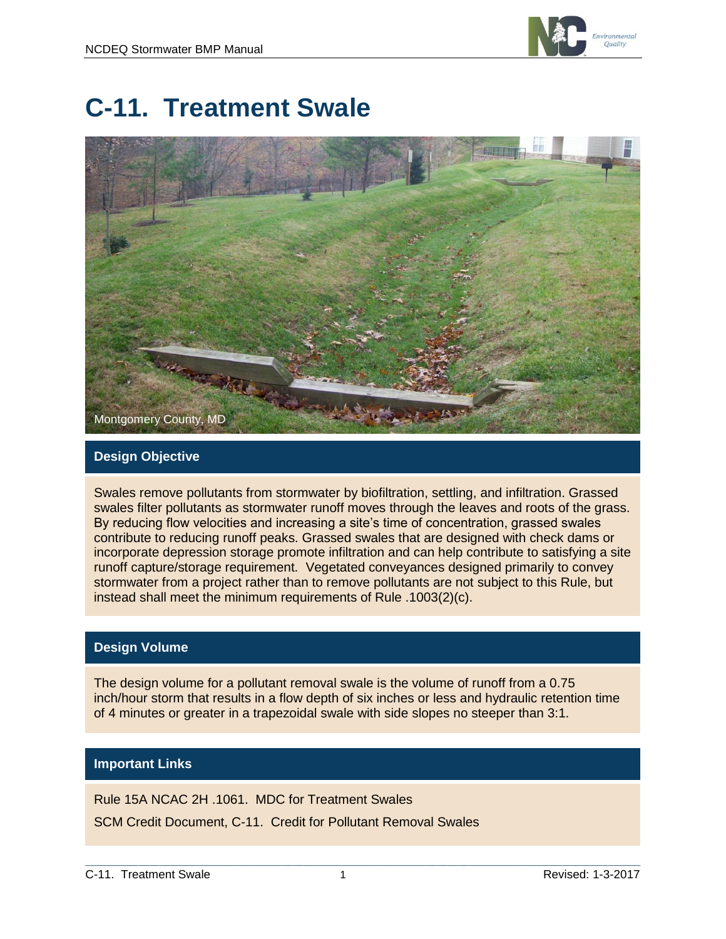

# **C-11. Treatment Swale**



#### **Design Objective**

Swales remove pollutants from stormwater by biofiltration, settling, and infiltration. Grassed swales filter pollutants as stormwater runoff moves through the leaves and roots of the grass. By reducing flow velocities and increasing a site's time of concentration, grassed swales contribute to reducing runoff peaks. Grassed swales that are designed with check dams or incorporate depression storage promote infiltration and can help contribute to satisfying a site runoff capture/storage requirement. Vegetated conveyances designed primarily to convey stormwater from a project rather than to remove pollutants are not subject to this Rule, but instead shall meet the minimum requirements of Rule .1003(2)(c).

#### **Design Volume**

The design volume for a pollutant removal swale is the volume of runoff from a 0.75 inch/hour storm that results in a flow depth of six inches or less and hydraulic retention time of 4 minutes or greater in a trapezoidal swale with side slopes no steeper than 3:1.

#### **Important Links**

Rule 15A NCAC 2H .1061. MDC for Treatment Swales

SCM Credit Document, C-11. Credit for Pollutant Removal Swales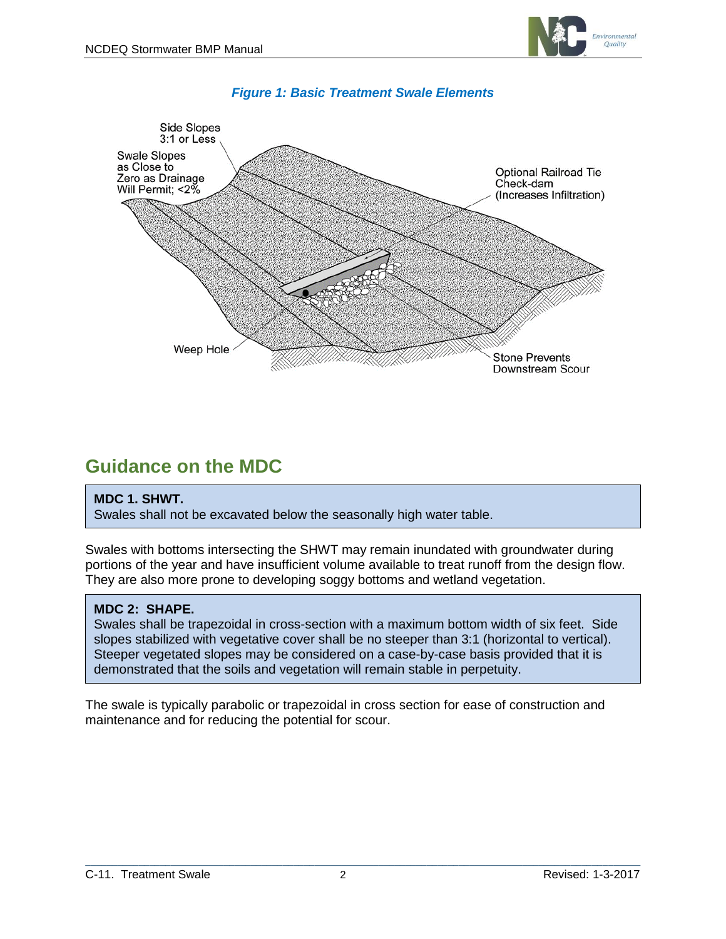



#### *Figure 1: Basic Treatment Swale Elements*

### **Guidance on the MDC**

#### **MDC 1. SHWT.**

Swales shall not be excavated below the seasonally high water table.

Swales with bottoms intersecting the SHWT may remain inundated with groundwater during portions of the year and have insufficient volume available to treat runoff from the design flow. They are also more prone to developing soggy bottoms and wetland vegetation.

#### **MDC 2: SHAPE.**

Swales shall be trapezoidal in cross-section with a maximum bottom width of six feet. Side slopes stabilized with vegetative cover shall be no steeper than 3:1 (horizontal to vertical). Steeper vegetated slopes may be considered on a case-by-case basis provided that it is demonstrated that the soils and vegetation will remain stable in perpetuity.

The swale is typically parabolic or trapezoidal in cross section for ease of construction and maintenance and for reducing the potential for scour.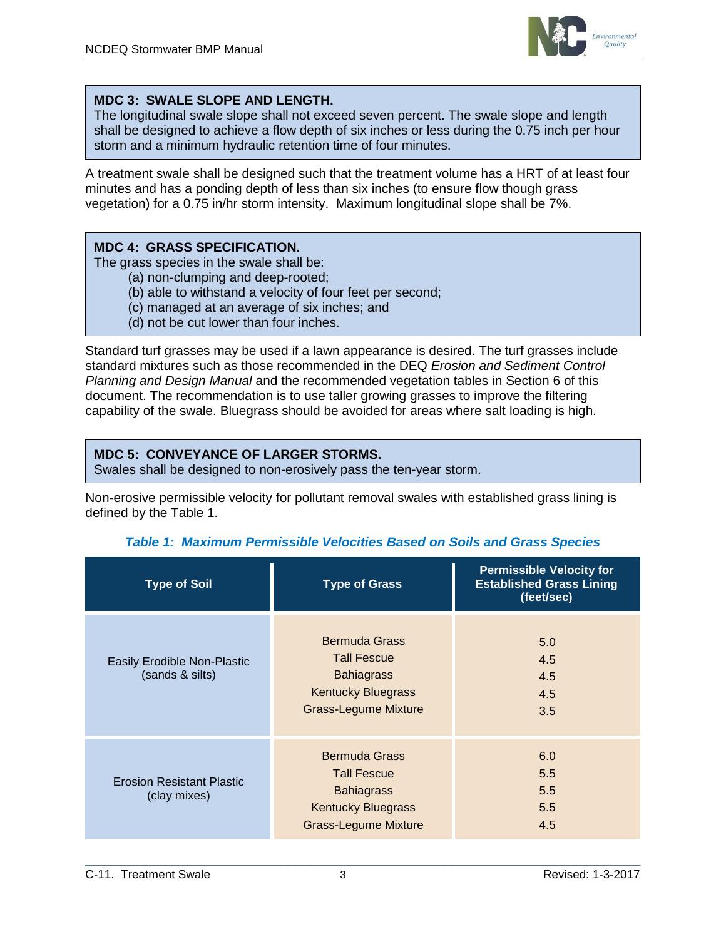

#### **MDC 3: SWALE SLOPE AND LENGTH.**

The longitudinal swale slope shall not exceed seven percent. The swale slope and length shall be designed to achieve a flow depth of six inches or less during the 0.75 inch per hour storm and a minimum hydraulic retention time of four minutes.

A treatment swale shall be designed such that the treatment volume has a HRT of at least four minutes and has a ponding depth of less than six inches (to ensure flow though grass vegetation) for a 0.75 in/hr storm intensity. Maximum longitudinal slope shall be 7%.

#### **MDC 4: GRASS SPECIFICATION.**

The grass species in the swale shall be:

- (a) non-clumping and deep-rooted;
- (b) able to withstand a velocity of four feet per second;
- (c) managed at an average of six inches; and
- (d) not be cut lower than four inches.

Standard turf grasses may be used if a lawn appearance is desired. The turf grasses include standard mixtures such as those recommended in the DEQ *Erosion and Sediment Control Planning and Design Manual* and the recommended vegetation tables in Section 6 of this document. The recommendation is to use taller growing grasses to improve the filtering capability of the swale. Bluegrass should be avoided for areas where salt loading is high.

#### **MDC 5: CONVEYANCE OF LARGER STORMS.**

Swales shall be designed to non-erosively pass the ten-year storm.

Non-erosive permissible velocity for pollutant removal swales with established grass lining is defined by the Table 1.

| <b>Type of Soil</b>                              | <b>Type of Grass</b>                                                                                                        | <b>Permissible Velocity for</b><br><b>Established Grass Lining</b><br>(feet/sec) |
|--------------------------------------------------|-----------------------------------------------------------------------------------------------------------------------------|----------------------------------------------------------------------------------|
| Easily Erodible Non-Plastic<br>(sands & silts)   | <b>Bermuda Grass</b><br><b>Tall Fescue</b><br><b>Bahiagrass</b><br><b>Kentucky Bluegrass</b><br><b>Grass-Legume Mixture</b> | 5.0<br>4.5<br>4.5<br>4.5<br>3.5                                                  |
| <b>Erosion Resistant Plastic</b><br>(clay mixes) | <b>Bermuda Grass</b><br><b>Tall Fescue</b><br><b>Bahiagrass</b><br><b>Kentucky Bluegrass</b><br><b>Grass-Legume Mixture</b> | 6.0<br>5.5<br>5.5<br>5.5<br>4.5                                                  |

#### *Table 1: Maximum Permissible Velocities Based on Soils and Grass Species*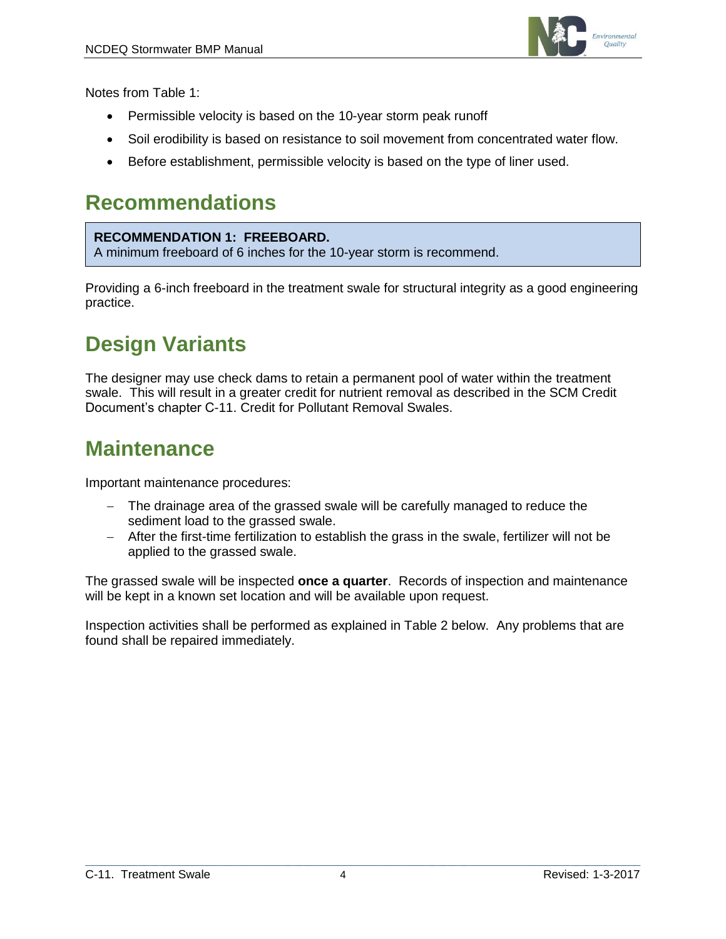

Notes from Table 1:

- Permissible velocity is based on the 10-year storm peak runoff
- Soil erodibility is based on resistance to soil movement from concentrated water flow.
- Before establishment, permissible velocity is based on the type of liner used.

### **Recommendations**

#### **RECOMMENDATION 1: FREEBOARD.**

A minimum freeboard of 6 inches for the 10-year storm is recommend.

Providing a 6-inch freeboard in the treatment swale for structural integrity as a good engineering practice.

## **Design Variants**

The designer may use check dams to retain a permanent pool of water within the treatment swale. This will result in a greater credit for nutrient removal as described in the SCM Credit Document's chapter C-11. Credit for Pollutant Removal Swales.

### **Maintenance**

Important maintenance procedures:

- The drainage area of the grassed swale will be carefully managed to reduce the sediment load to the grassed swale.
- After the first-time fertilization to establish the grass in the swale, fertilizer will not be applied to the grassed swale.

The grassed swale will be inspected **once a quarter**. Records of inspection and maintenance will be kept in a known set location and will be available upon request.

Inspection activities shall be performed as explained in Table 2 below. Any problems that are found shall be repaired immediately.